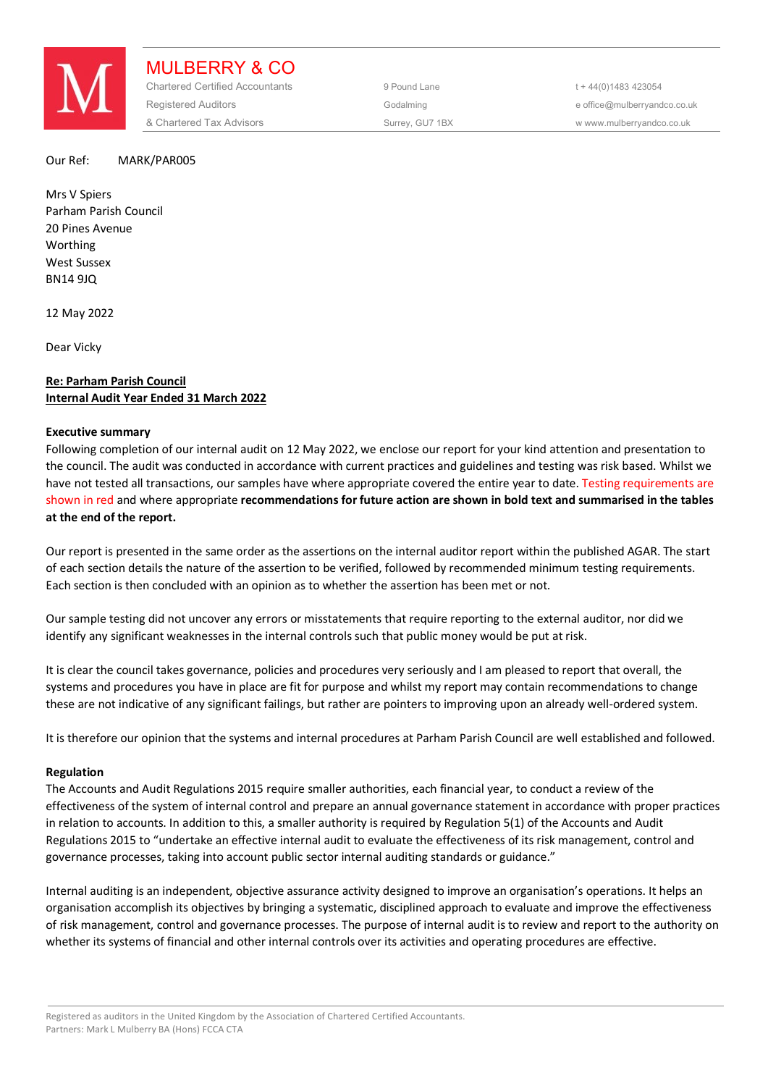

MULBERRY & CO Chartered Certified Accountants 9 Pound Lane 5 and the 44(0) 1483 423054 Registered Auditors and the Codalming Codalming and the office@mulberryandco.co.uk & Chartered Tax Advisors Surrey, GU7 1BX w www.mulberryandco.co.uk

### Our Ref: MARK/PAR005

Mrs V Spiers Parham Parish Council 20 Pines Avenue Worthing West Sussex BN14 9JQ

12 May 2022

Dear Vicky

# **Re: Parham Parish Council Internal Audit Year Ended 31 March 2022**

# **Executive summary**

Following completion of our internal audit on 12 May 2022, we enclose our report for your kind attention and presentation to the council. The audit was conducted in accordance with current practices and guidelines and testing was risk based. Whilst we have not tested all transactions, our samples have where appropriate covered the entire year to date. Testing requirements are shown in red and where appropriate **recommendations for future action are shown in bold text and summarised in the tables at the end of the report.** 

Our report is presented in the same order as the assertions on the internal auditor report within the published AGAR. The start of each section details the nature of the assertion to be verified, followed by recommended minimum testing requirements. Each section is then concluded with an opinion as to whether the assertion has been met or not.

Our sample testing did not uncover any errors or misstatements that require reporting to the external auditor, nor did we identify any significant weaknesses in the internal controls such that public money would be put at risk.

It is clear the council takes governance, policies and procedures very seriously and I am pleased to report that overall, the systems and procedures you have in place are fit for purpose and whilst my report may contain recommendations to change these are not indicative of any significant failings, but rather are pointers to improving upon an already well-ordered system.

It is therefore our opinion that the systems and internal procedures at Parham Parish Council are well established and followed.

# **Regulation**

The Accounts and Audit Regulations 2015 require smaller authorities, each financial year, to conduct a review of the effectiveness of the system of internal control and prepare an annual governance statement in accordance with proper practices in relation to accounts. In addition to this, a smaller authority is required by Regulation 5(1) of the Accounts and Audit Regulations 2015 to "undertake an effective internal audit to evaluate the effectiveness of its risk management, control and governance processes, taking into account public sector internal auditing standards or guidance."

Internal auditing is an independent, objective assurance activity designed to improve an organisation's operations. It helps an organisation accomplish its objectives by bringing a systematic, disciplined approach to evaluate and improve the effectiveness of risk management, control and governance processes. The purpose of internal audit is to review and report to the authority on whether its systems of financial and other internal controls over its activities and operating procedures are effective.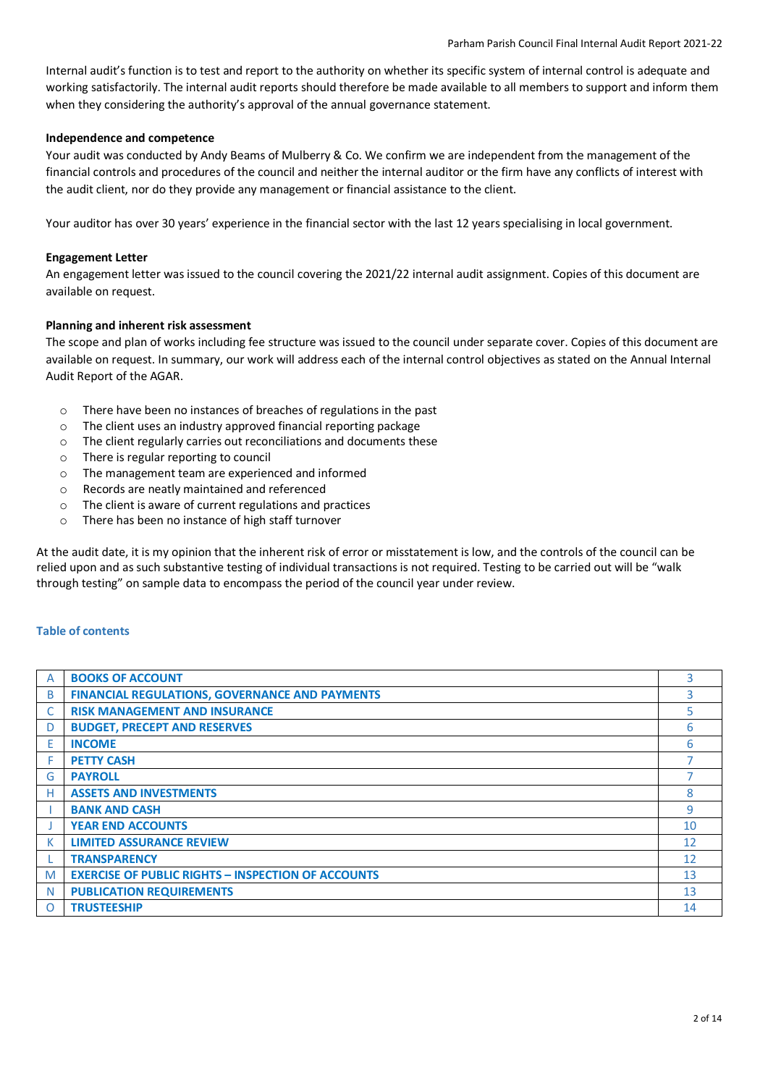Internal audit's function is to test and report to the authority on whether its specific system of internal control is adequate and working satisfactorily. The internal audit reports should therefore be made available to all members to support and inform them when they considering the authority's approval of the annual governance statement.

# **Independence and competence**

Your audit was conducted by Andy Beams of Mulberry & Co. We confirm we are independent from the management of the financial controls and procedures of the council and neither the internal auditor or the firm have any conflicts of interest with the audit client, nor do they provide any management or financial assistance to the client.

Your auditor has over 30 years' experience in the financial sector with the last 12 years specialising in local government.

# **Engagement Letter**

An engagement letter was issued to the council covering the 2021/22 internal audit assignment. Copies of this document are available on request.

# **Planning and inherent risk assessment**

The scope and plan of works including fee structure was issued to the council under separate cover. Copies of this document are available on request. In summary, our work will address each of the internal control objectives as stated on the Annual Internal Audit Report of the AGAR.

- o There have been no instances of breaches of regulations in the past
- o The client uses an industry approved financial reporting package
- o The client regularly carries out reconciliations and documents these
- o There is regular reporting to council
- o The management team are experienced and informed
- o Records are neatly maintained and referenced
- o The client is aware of current regulations and practices
- o There has been no instance of high staff turnover

At the audit date, it is my opinion that the inherent risk of error or misstatement is low, and the controls of the council can be relied upon and as such substantive testing of individual transactions is not required. Testing to be carried out will be "walk through testing" on sample data to encompass the period of the council year under review.

# **Table of contents**

| A        | <b>BOOKS OF ACCOUNT</b>                                   | 3  |
|----------|-----------------------------------------------------------|----|
| B        | <b>FINANCIAL REGULATIONS, GOVERNANCE AND PAYMENTS</b>     | 3  |
|          | <b>RISK MANAGEMENT AND INSURANCE</b>                      | 5. |
| D        | <b>BUDGET, PRECEPT AND RESERVES</b>                       | 6  |
| E        | <b>INCOME</b>                                             | 6  |
| F        | <b>PETTY CASH</b>                                         |    |
| G        | <b>PAYROLL</b>                                            |    |
| н        | <b>ASSETS AND INVESTMENTS</b>                             | 8  |
|          | <b>BANK AND CASH</b>                                      | 9  |
|          | <b>YEAR END ACCOUNTS</b>                                  | 10 |
| К        | <b>LIMITED ASSURANCE REVIEW</b>                           | 12 |
|          | <b>TRANSPARENCY</b>                                       | 12 |
| M        | <b>EXERCISE OF PUBLIC RIGHTS - INSPECTION OF ACCOUNTS</b> | 13 |
| N        | <b>PUBLICATION REQUIREMENTS</b>                           | 13 |
| $\Omega$ | <b>TRUSTEESHIP</b>                                        | 14 |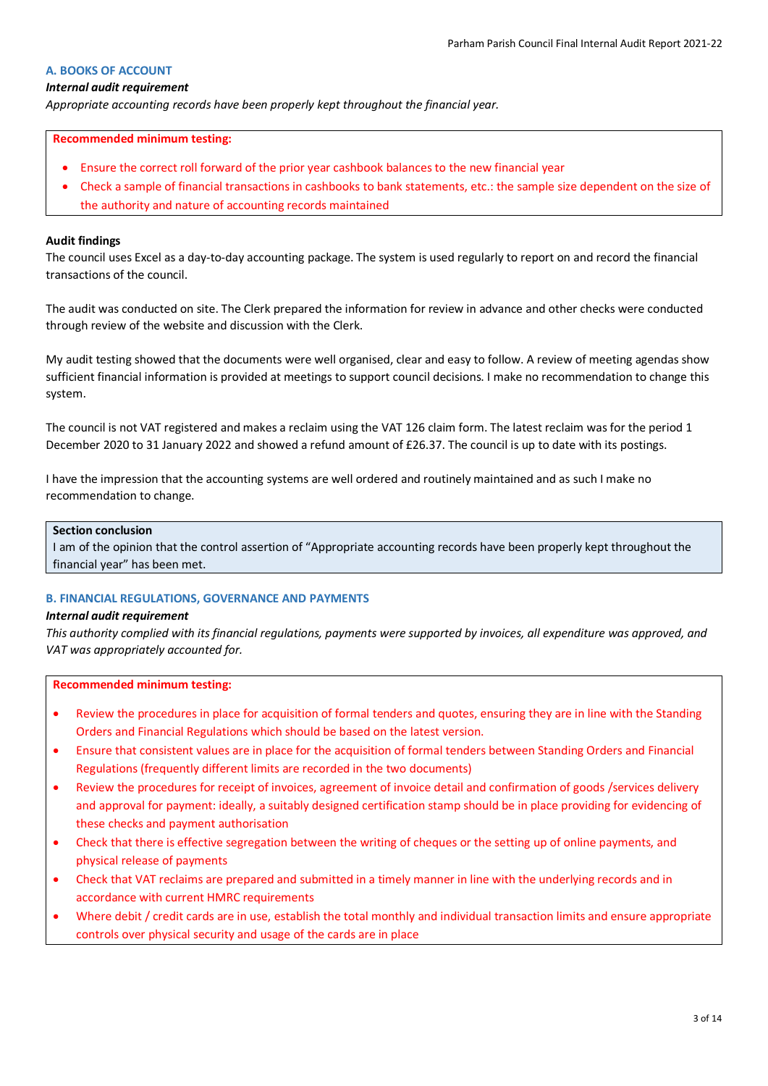## **A. BOOKS OF ACCOUNT**

### *Internal audit requirement*

*Appropriate accounting records have been properly kept throughout the financial year.*

#### **Recommended minimum testing:**

- Ensure the correct roll forward of the prior year cashbook balances to the new financial year
- Check a sample of financial transactions in cashbooks to bank statements, etc.: the sample size dependent on the size of the authority and nature of accounting records maintained

#### **Audit findings**

The council uses Excel as a day-to-day accounting package. The system is used regularly to report on and record the financial transactions of the council.

The audit was conducted on site. The Clerk prepared the information for review in advance and other checks were conducted through review of the website and discussion with the Clerk.

My audit testing showed that the documents were well organised, clear and easy to follow. A review of meeting agendas show sufficient financial information is provided at meetings to support council decisions. I make no recommendation to change this system.

The council is not VAT registered and makes a reclaim using the VAT 126 claim form. The latest reclaim was for the period 1 December 2020 to 31 January 2022 and showed a refund amount of £26.37. The council is up to date with its postings.

I have the impression that the accounting systems are well ordered and routinely maintained and as such I make no recommendation to change.

## **Section conclusion**

I am of the opinion that the control assertion of "Appropriate accounting records have been properly kept throughout the financial year" has been met.

# **B. FINANCIAL REGULATIONS, GOVERNANCE AND PAYMENTS**

#### *Internal audit requirement*

*This authority complied with its financial regulations, payments were supported by invoices, all expenditure was approved, and VAT was appropriately accounted for.*

#### **Recommended minimum testing:**

- Review the procedures in place for acquisition of formal tenders and quotes, ensuring they are in line with the Standing Orders and Financial Regulations which should be based on the latest version.
- Ensure that consistent values are in place for the acquisition of formal tenders between Standing Orders and Financial Regulations (frequently different limits are recorded in the two documents)
- Review the procedures for receipt of invoices, agreement of invoice detail and confirmation of goods /services delivery and approval for payment: ideally, a suitably designed certification stamp should be in place providing for evidencing of these checks and payment authorisation
- Check that there is effective segregation between the writing of cheques or the setting up of online payments, and physical release of payments
- Check that VAT reclaims are prepared and submitted in a timely manner in line with the underlying records and in accordance with current HMRC requirements
- Where debit / credit cards are in use, establish the total monthly and individual transaction limits and ensure appropriate controls over physical security and usage of the cards are in place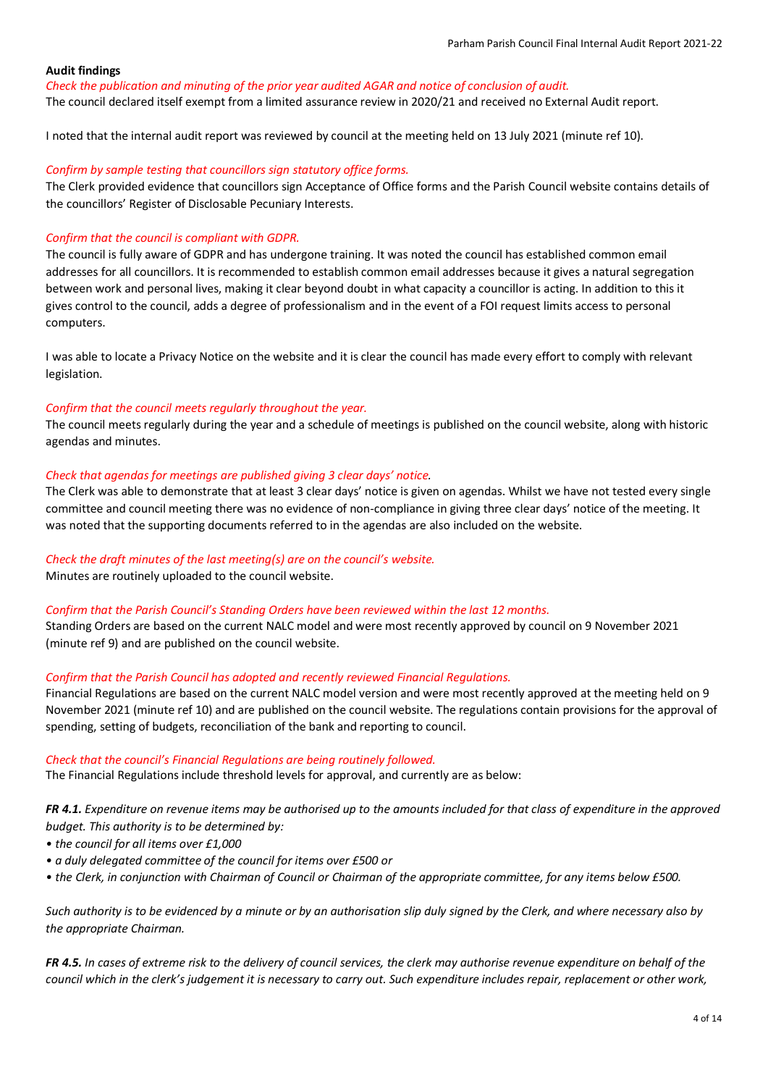*Check the publication and minuting of the prior year audited AGAR and notice of conclusion of audit.*

The council declared itself exempt from a limited assurance review in 2020/21 and received no External Audit report.

I noted that the internal audit report was reviewed by council at the meeting held on 13 July 2021 (minute ref 10).

## *Confirm by sample testing that councillors sign statutory office forms.*

The Clerk provided evidence that councillors sign Acceptance of Office forms and the Parish Council website contains details of the councillors' Register of Disclosable Pecuniary Interests.

## *Confirm that the council is compliant with GDPR.*

The council is fully aware of GDPR and has undergone training. It was noted the council has established common email addresses for all councillors. It is recommended to establish common email addresses because it gives a natural segregation between work and personal lives, making it clear beyond doubt in what capacity a councillor is acting. In addition to this it gives control to the council, adds a degree of professionalism and in the event of a FOI request limits access to personal computers.

I was able to locate a Privacy Notice on the website and it is clear the council has made every effort to comply with relevant legislation.

## *Confirm that the council meets regularly throughout the year.*

The council meets regularly during the year and a schedule of meetings is published on the council website, along with historic agendas and minutes.

## *Check that agendas for meetings are published giving 3 clear days' notice.*

The Clerk was able to demonstrate that at least 3 clear days' notice is given on agendas. Whilst we have not tested every single committee and council meeting there was no evidence of non-compliance in giving three clear days' notice of the meeting. It was noted that the supporting documents referred to in the agendas are also included on the website.

# *Check the draft minutes of the last meeting(s) are on the council's website.*

Minutes are routinely uploaded to the council website.

### *Confirm that the Parish Council's Standing Orders have been reviewed within the last 12 months.*

Standing Orders are based on the current NALC model and were most recently approved by council on 9 November 2021 (minute ref 9) and are published on the council website.

### *Confirm that the Parish Council has adopted and recently reviewed Financial Regulations.*

Financial Regulations are based on the current NALC model version and were most recently approved at the meeting held on 9 November 2021 (minute ref 10) and are published on the council website. The regulations contain provisions for the approval of spending, setting of budgets, reconciliation of the bank and reporting to council.

### *Check that the council's Financial Regulations are being routinely followed.*

The Financial Regulations include threshold levels for approval, and currently are as below:

*FR 4.1. Expenditure on revenue items may be authorised up to the amounts included for that class of expenditure in the approved budget. This authority is to be determined by:* 

- *the council for all items over £1,000*
- *a duly delegated committee of the council for items over £500 or*
- *the Clerk, in conjunction with Chairman of Council or Chairman of the appropriate committee, for any items below £500.*

*Such authority is to be evidenced by a minute or by an authorisation slip duly signed by the Clerk, and where necessary also by the appropriate Chairman.*

*FR 4.5. In cases of extreme risk to the delivery of council services, the clerk may authorise revenue expenditure on behalf of the council which in the clerk's judgement it is necessary to carry out. Such expenditure includes repair, replacement or other work,*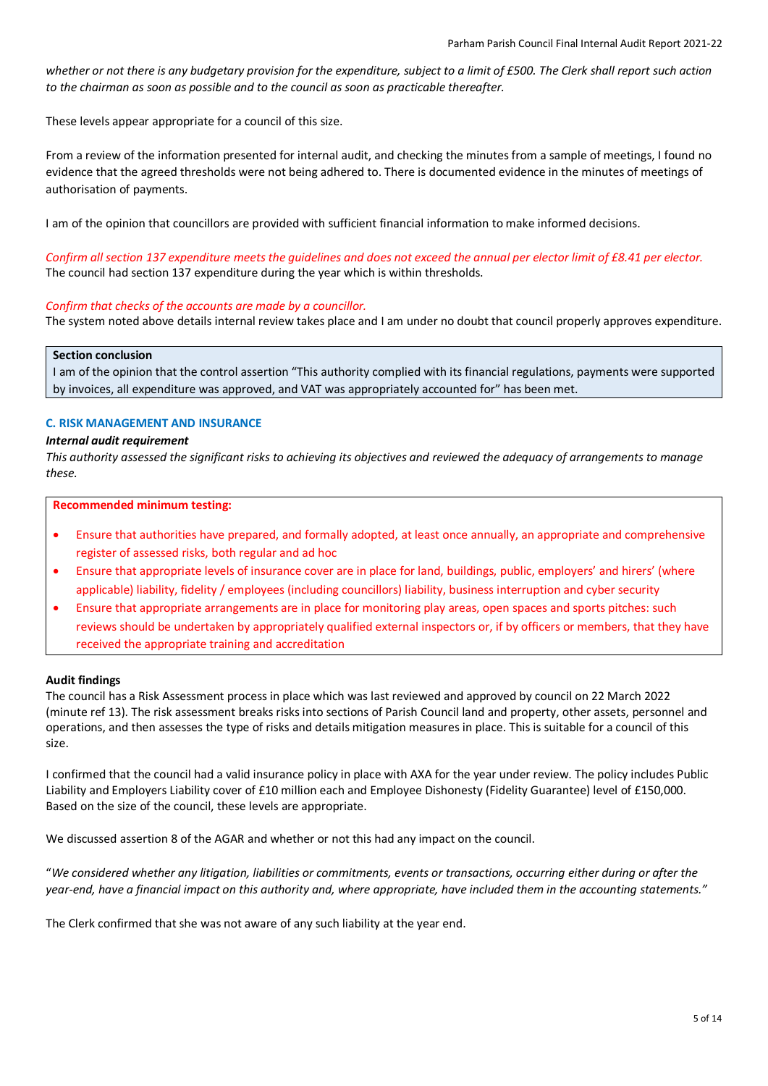*whether or not there is any budgetary provision for the expenditure, subject to a limit of £500. The Clerk shall report such action to the chairman as soon as possible and to the council as soon as practicable thereafter.*

These levels appear appropriate for a council of this size.

From a review of the information presented for internal audit, and checking the minutes from a sample of meetings, I found no evidence that the agreed thresholds were not being adhered to. There is documented evidence in the minutes of meetings of authorisation of payments.

I am of the opinion that councillors are provided with sufficient financial information to make informed decisions.

*Confirm all section 137 expenditure meets the guidelines and does not exceed the annual per elector limit of £8.41 per elector.* The council had section 137 expenditure during the year which is within thresholds.

# *Confirm that checks of the accounts are made by a councillor.*

The system noted above details internal review takes place and I am under no doubt that council properly approves expenditure.

### **Section conclusion**

I am of the opinion that the control assertion "This authority complied with its financial regulations, payments were supported by invoices, all expenditure was approved, and VAT was appropriately accounted for" has been met.

## **C. RISK MANAGEMENT AND INSURANCE**

### *Internal audit requirement*

*This authority assessed the significant risks to achieving its objectives and reviewed the adequacy of arrangements to manage these.*

**Recommended minimum testing:**

- Ensure that authorities have prepared, and formally adopted, at least once annually, an appropriate and comprehensive register of assessed risks, both regular and ad hoc
- Ensure that appropriate levels of insurance cover are in place for land, buildings, public, employers' and hirers' (where applicable) liability, fidelity / employees (including councillors) liability, business interruption and cyber security
- Ensure that appropriate arrangements are in place for monitoring play areas, open spaces and sports pitches: such reviews should be undertaken by appropriately qualified external inspectors or, if by officers or members, that they have received the appropriate training and accreditation

# **Audit findings**

The council has a Risk Assessment process in place which was last reviewed and approved by council on 22 March 2022 (minute ref 13). The risk assessment breaks risks into sections of Parish Council land and property, other assets, personnel and operations, and then assesses the type of risks and details mitigation measures in place. This is suitable for a council of this size.

I confirmed that the council had a valid insurance policy in place with AXA for the year under review. The policy includes Public Liability and Employers Liability cover of £10 million each and Employee Dishonesty (Fidelity Guarantee) level of £150,000. Based on the size of the council, these levels are appropriate.

We discussed assertion 8 of the AGAR and whether or not this had any impact on the council.

"*We considered whether any litigation, liabilities or commitments, events or transactions, occurring either during or after the year-end, have a financial impact on this authority and, where appropriate, have included them in the accounting statements."*

The Clerk confirmed that she was not aware of any such liability at the year end.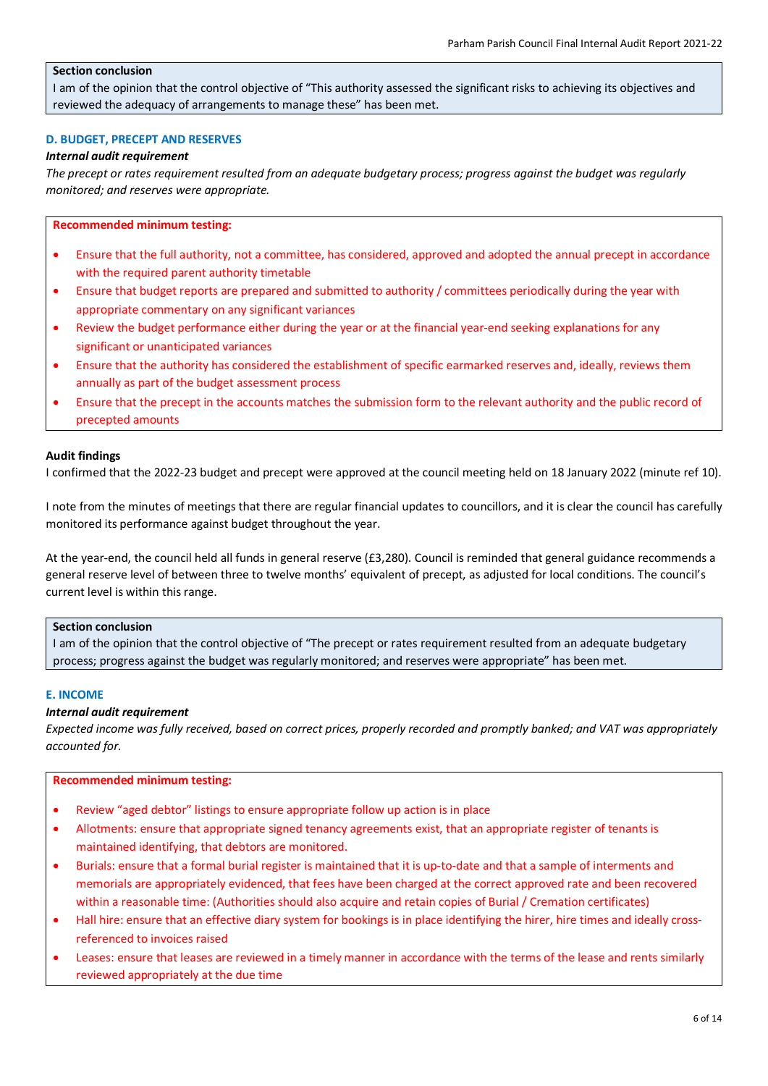# **Section conclusion**

I am of the opinion that the control objective of "This authority assessed the significant risks to achieving its objectives and reviewed the adequacy of arrangements to manage these" has been met.

## **D. BUDGET, PRECEPT AND RESERVES**

### *Internal audit requirement*

*The precept or rates requirement resulted from an adequate budgetary process; progress against the budget was regularly monitored; and reserves were appropriate.*

## **Recommended minimum testing:**

- Ensure that the full authority, not a committee, has considered, approved and adopted the annual precept in accordance with the required parent authority timetable
- Ensure that budget reports are prepared and submitted to authority / committees periodically during the year with appropriate commentary on any significant variances
- Review the budget performance either during the year or at the financial year-end seeking explanations for any significant or unanticipated variances
- Ensure that the authority has considered the establishment of specific earmarked reserves and, ideally, reviews them annually as part of the budget assessment process
- Ensure that the precept in the accounts matches the submission form to the relevant authority and the public record of precepted amounts

### **Audit findings**

I confirmed that the 2022-23 budget and precept were approved at the council meeting held on 18 January 2022 (minute ref 10).

I note from the minutes of meetings that there are regular financial updates to councillors, and it is clear the council has carefully monitored its performance against budget throughout the year.

At the year-end, the council held all funds in general reserve (£3,280). Council is reminded that general guidance recommends a general reserve level of between three to twelve months' equivalent of precept, as adjusted for local conditions. The council's current level is within this range.

# **Section conclusion**

I am of the opinion that the control objective of "The precept or rates requirement resulted from an adequate budgetary process; progress against the budget was regularly monitored; and reserves were appropriate" has been met.

### **E. INCOME**

## *Internal audit requirement*

*Expected income was fully received, based on correct prices, properly recorded and promptly banked; and VAT was appropriately accounted for.*

### **Recommended minimum testing:**

- Review "aged debtor" listings to ensure appropriate follow up action is in place
- Allotments: ensure that appropriate signed tenancy agreements exist, that an appropriate register of tenants is maintained identifying, that debtors are monitored.
- Burials: ensure that a formal burial register is maintained that it is up-to-date and that a sample of interments and memorials are appropriately evidenced, that fees have been charged at the correct approved rate and been recovered within a reasonable time: (Authorities should also acquire and retain copies of Burial / Cremation certificates)
- Hall hire: ensure that an effective diary system for bookings is in place identifying the hirer, hire times and ideally crossreferenced to invoices raised
- Leases: ensure that leases are reviewed in a timely manner in accordance with the terms of the lease and rents similarly reviewed appropriately at the due time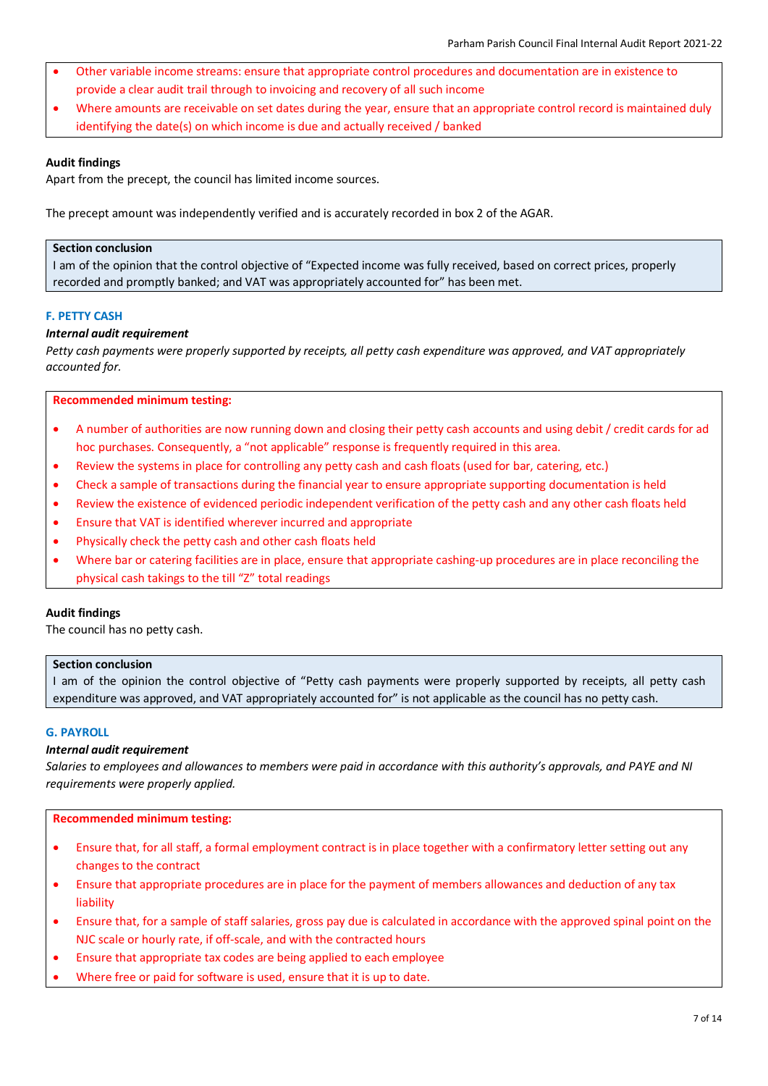- Other variable income streams: ensure that appropriate control procedures and documentation are in existence to provide a clear audit trail through to invoicing and recovery of all such income
- Where amounts are receivable on set dates during the year, ensure that an appropriate control record is maintained duly identifying the date(s) on which income is due and actually received / banked

Apart from the precept, the council has limited income sources.

The precept amount was independently verified and is accurately recorded in box 2 of the AGAR.

# **Section conclusion**

I am of the opinion that the control objective of "Expected income was fully received, based on correct prices, properly recorded and promptly banked; and VAT was appropriately accounted for" has been met.

# **F. PETTY CASH**

# *Internal audit requirement*

*Petty cash payments were properly supported by receipts, all petty cash expenditure was approved, and VAT appropriately accounted for.*

## **Recommended minimum testing:**

- A number of authorities are now running down and closing their petty cash accounts and using debit / credit cards for ad hoc purchases. Consequently, a "not applicable" response is frequently required in this area.
- Review the systems in place for controlling any petty cash and cash floats (used for bar, catering, etc.)
- Check a sample of transactions during the financial year to ensure appropriate supporting documentation is held
- Review the existence of evidenced periodic independent verification of the petty cash and any other cash floats held
- Ensure that VAT is identified wherever incurred and appropriate
- Physically check the petty cash and other cash floats held
- Where bar or catering facilities are in place, ensure that appropriate cashing-up procedures are in place reconciling the physical cash takings to the till "Z" total readings

## **Audit findings**

The council has no petty cash.

## **Section conclusion**

I am of the opinion the control objective of "Petty cash payments were properly supported by receipts, all petty cash expenditure was approved, and VAT appropriately accounted for" is not applicable as the council has no petty cash.

## **G. PAYROLL**

### *Internal audit requirement*

*Salaries to employees and allowances to members were paid in accordance with this authority's approvals, and PAYE and NI requirements were properly applied.*

### **Recommended minimum testing:**

- Ensure that, for all staff, a formal employment contract is in place together with a confirmatory letter setting out any changes to the contract
- Ensure that appropriate procedures are in place for the payment of members allowances and deduction of any tax liability
- Ensure that, for a sample of staff salaries, gross pay due is calculated in accordance with the approved spinal point on the NJC scale or hourly rate, if off-scale, and with the contracted hours
- Ensure that appropriate tax codes are being applied to each employee
- Where free or paid for software is used, ensure that it is up to date.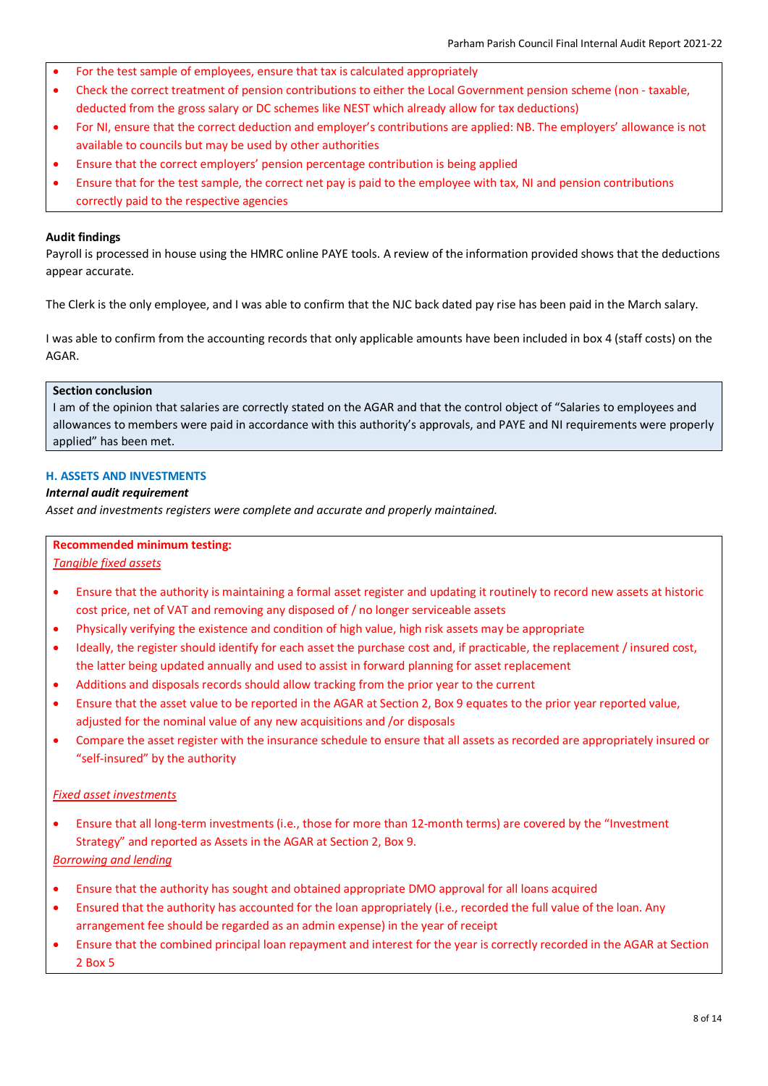- For the test sample of employees, ensure that tax is calculated appropriately
- Check the correct treatment of pension contributions to either the Local Government pension scheme (non taxable, deducted from the gross salary or DC schemes like NEST which already allow for tax deductions)
- For NI, ensure that the correct deduction and employer's contributions are applied: NB. The employers' allowance is not available to councils but may be used by other authorities
- Ensure that the correct employers' pension percentage contribution is being applied
- Ensure that for the test sample, the correct net pay is paid to the employee with tax, NI and pension contributions correctly paid to the respective agencies

Payroll is processed in house using the HMRC online PAYE tools. A review of the information provided shows that the deductions appear accurate.

The Clerk is the only employee, and I was able to confirm that the NJC back dated pay rise has been paid in the March salary.

I was able to confirm from the accounting records that only applicable amounts have been included in box 4 (staff costs) on the AGAR.

# **Section conclusion**

I am of the opinion that salaries are correctly stated on the AGAR and that the control object of "Salaries to employees and allowances to members were paid in accordance with this authority's approvals, and PAYE and NI requirements were properly applied" has been met.

# **H. ASSETS AND INVESTMENTS**

## *Internal audit requirement*

*Asset and investments registers were complete and accurate and properly maintained.*

## **Recommended minimum testing:**

*Tangible fixed assets*

- Ensure that the authority is maintaining a formal asset register and updating it routinely to record new assets at historic cost price, net of VAT and removing any disposed of / no longer serviceable assets
- Physically verifying the existence and condition of high value, high risk assets may be appropriate
- Ideally, the register should identify for each asset the purchase cost and, if practicable, the replacement / insured cost, the latter being updated annually and used to assist in forward planning for asset replacement
- Additions and disposals records should allow tracking from the prior year to the current
- Ensure that the asset value to be reported in the AGAR at Section 2, Box 9 equates to the prior year reported value, adjusted for the nominal value of any new acquisitions and /or disposals
- Compare the asset register with the insurance schedule to ensure that all assets as recorded are appropriately insured or "self-insured" by the authority

# *Fixed asset investments*

• Ensure that all long-term investments (i.e., those for more than 12-month terms) are covered by the "Investment Strategy" and reported as Assets in the AGAR at Section 2, Box 9.

# *Borrowing and lending*

- Ensure that the authority has sought and obtained appropriate DMO approval for all loans acquired
- Ensured that the authority has accounted for the loan appropriately (i.e., recorded the full value of the loan. Any arrangement fee should be regarded as an admin expense) in the year of receipt
- Ensure that the combined principal loan repayment and interest for the year is correctly recorded in the AGAR at Section 2 Box 5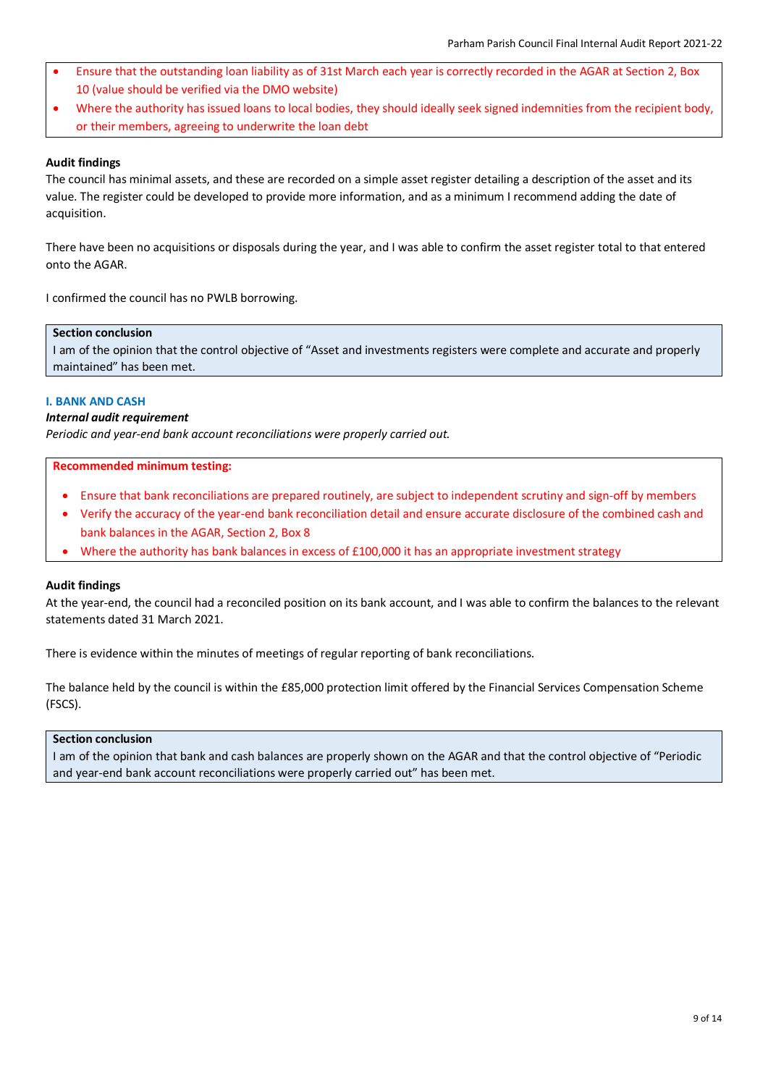- Ensure that the outstanding loan liability as of 31st March each year is correctly recorded in the AGAR at Section 2, Box 10 (value should be verified via the DMO website)
- Where the authority has issued loans to local bodies, they should ideally seek signed indemnities from the recipient body, or their members, agreeing to underwrite the loan debt

The council has minimal assets, and these are recorded on a simple asset register detailing a description of the asset and its value. The register could be developed to provide more information, and as a minimum I recommend adding the date of acquisition.

There have been no acquisitions or disposals during the year, and I was able to confirm the asset register total to that entered onto the AGAR.

I confirmed the council has no PWLB borrowing.

## **Section conclusion**

I am of the opinion that the control objective of "Asset and investments registers were complete and accurate and properly maintained" has been met.

# **I. BANK AND CASH**

# *Internal audit requirement*

*Periodic and year-end bank account reconciliations were properly carried out.*

### **Recommended minimum testing:**

- Ensure that bank reconciliations are prepared routinely, are subject to independent scrutiny and sign-off by members
- Verify the accuracy of the year-end bank reconciliation detail and ensure accurate disclosure of the combined cash and bank balances in the AGAR, Section 2, Box 8
- Where the authority has bank balances in excess of £100,000 it has an appropriate investment strategy

### **Audit findings**

At the year-end, the council had a reconciled position on its bank account, and I was able to confirm the balances to the relevant statements dated 31 March 2021.

There is evidence within the minutes of meetings of regular reporting of bank reconciliations.

The balance held by the council is within the £85,000 protection limit offered by the Financial Services Compensation Scheme (FSCS).

### **Section conclusion**

I am of the opinion that bank and cash balances are properly shown on the AGAR and that the control objective of "Periodic and year-end bank account reconciliations were properly carried out" has been met.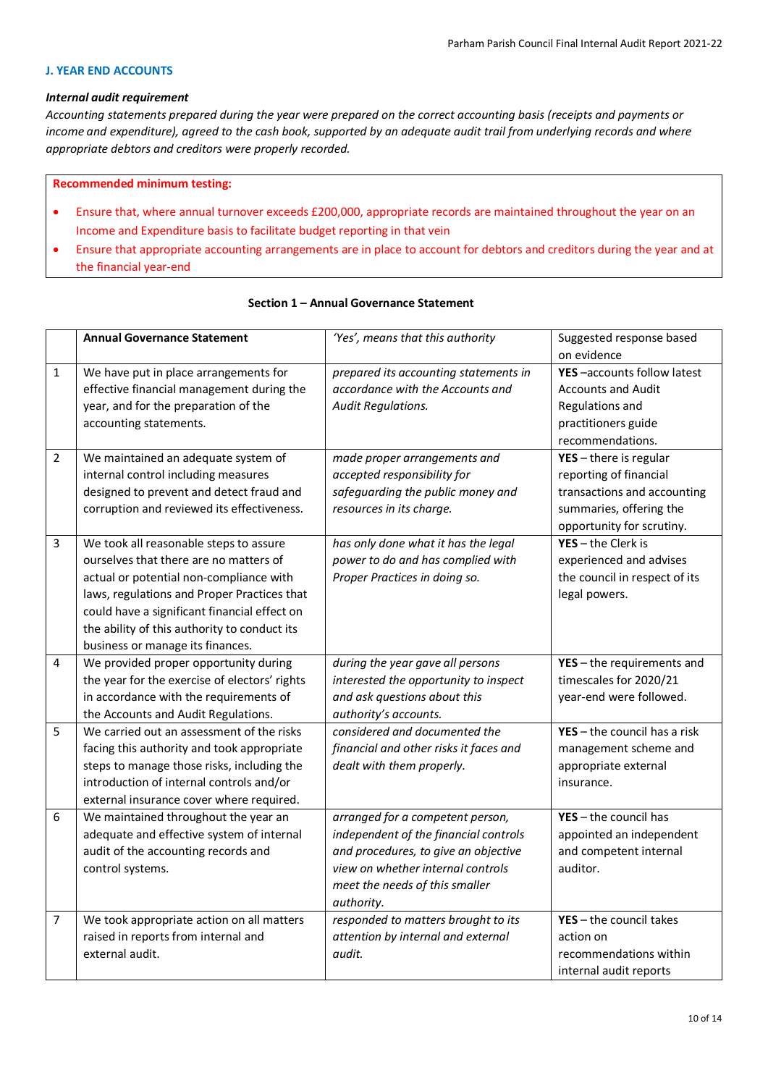## **J. YEAR END ACCOUNTS**

### *Internal audit requirement*

*Accounting statements prepared during the year were prepared on the correct accounting basis (receipts and payments or income and expenditure), agreed to the cash book, supported by an adequate audit trail from underlying records and where appropriate debtors and creditors were properly recorded.*

#### **Recommended minimum testing:**

- Ensure that, where annual turnover exceeds £200,000, appropriate records are maintained throughout the year on an Income and Expenditure basis to facilitate budget reporting in that vein
- Ensure that appropriate accounting arrangements are in place to account for debtors and creditors during the year and at the financial year-end

|                | <b>Annual Governance Statement</b>                     | 'Yes', means that this authority                                          | Suggested response based<br>on evidence |
|----------------|--------------------------------------------------------|---------------------------------------------------------------------------|-----------------------------------------|
| $\mathbf{1}$   | We have put in place arrangements for                  | prepared its accounting statements in                                     | YES-accounts follow latest              |
|                | effective financial management during the              | accordance with the Accounts and                                          | <b>Accounts and Audit</b>               |
|                | year, and for the preparation of the                   | <b>Audit Regulations.</b>                                                 | Regulations and                         |
|                | accounting statements.                                 |                                                                           | practitioners guide                     |
|                |                                                        |                                                                           | recommendations.                        |
| $\overline{2}$ | We maintained an adequate system of                    | made proper arrangements and                                              | $YES - there$ is regular                |
|                | internal control including measures                    | accepted responsibility for                                               | reporting of financial                  |
|                | designed to prevent and detect fraud and               | safeguarding the public money and                                         | transactions and accounting             |
|                | corruption and reviewed its effectiveness.             | resources in its charge.                                                  | summaries, offering the                 |
|                |                                                        |                                                                           | opportunity for scrutiny.               |
| 3              | We took all reasonable steps to assure                 | has only done what it has the legal                                       | $YES - the Clerk is$                    |
|                | ourselves that there are no matters of                 | power to do and has complied with                                         | experienced and advises                 |
|                | actual or potential non-compliance with                | Proper Practices in doing so.                                             | the council in respect of its           |
|                | laws, regulations and Proper Practices that            |                                                                           | legal powers.                           |
|                | could have a significant financial effect on           |                                                                           |                                         |
|                | the ability of this authority to conduct its           |                                                                           |                                         |
|                | business or manage its finances.                       |                                                                           |                                         |
| 4              | We provided proper opportunity during                  | during the year gave all persons                                          | $YES - the requirements$ and            |
|                | the year for the exercise of electors' rights          | interested the opportunity to inspect                                     | timescales for 2020/21                  |
|                | in accordance with the requirements of                 | and ask questions about this                                              | year-end were followed.                 |
|                | the Accounts and Audit Regulations.                    | authority's accounts.                                                     |                                         |
| 5              | We carried out an assessment of the risks              | considered and documented the                                             | $YES - the council has a risk$          |
|                | facing this authority and took appropriate             | financial and other risks it faces and                                    | management scheme and                   |
|                | steps to manage those risks, including the             | dealt with them properly.                                                 | appropriate external                    |
|                | introduction of internal controls and/or               |                                                                           | insurance.                              |
|                | external insurance cover where required.               |                                                                           |                                         |
| 6              | We maintained throughout the year an                   | arranged for a competent person,                                          | $YES - the council has$                 |
|                | adequate and effective system of internal              | independent of the financial controls                                     | appointed an independent                |
|                | audit of the accounting records and                    | and procedures, to give an objective                                      | and competent internal                  |
|                | control systems.                                       | view on whether internal controls                                         | auditor.                                |
|                |                                                        | meet the needs of this smaller                                            |                                         |
|                |                                                        | authority.                                                                | $YES - the council takes$               |
| 7              | We took appropriate action on all matters              | responded to matters brought to its<br>attention by internal and external | action on                               |
|                | raised in reports from internal and<br>external audit. | audit.                                                                    | recommendations within                  |
|                |                                                        |                                                                           |                                         |
|                |                                                        |                                                                           | internal audit reports                  |

## **Section 1 – Annual Governance Statement**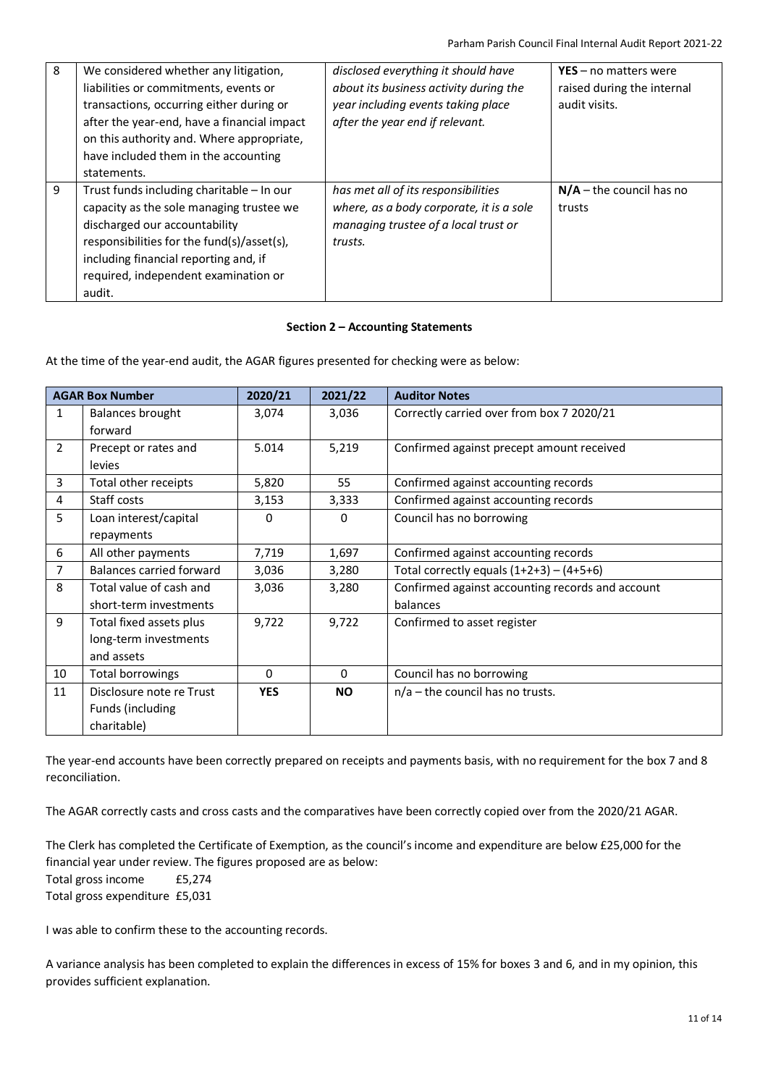| 8 | We considered whether any litigation,<br>liabilities or commitments, events or<br>transactions, occurring either during or<br>after the year-end, have a financial impact<br>on this authority and. Where appropriate,<br>have included them in the accounting<br>statements. | disclosed everything it should have<br>about its business activity during the<br>year including events taking place<br>after the year end if relevant. | $YES - no$ matters were<br>raised during the internal<br>audit visits. |
|---|-------------------------------------------------------------------------------------------------------------------------------------------------------------------------------------------------------------------------------------------------------------------------------|--------------------------------------------------------------------------------------------------------------------------------------------------------|------------------------------------------------------------------------|
| 9 | Trust funds including charitable - In our<br>capacity as the sole managing trustee we<br>discharged our accountability<br>responsibilities for the fund(s)/asset(s),<br>including financial reporting and, if<br>required, independent examination or<br>audit.               | has met all of its responsibilities<br>where, as a body corporate, it is a sole<br>managing trustee of a local trust or<br>trusts.                     | $N/A$ – the council has no<br>trusts                                   |

# **Section 2 – Accounting Statements**

At the time of the year-end audit, the AGAR figures presented for checking were as below:

| <b>AGAR Box Number</b> |                                 | 2020/21    | 2021/22   | <b>Auditor Notes</b>                             |
|------------------------|---------------------------------|------------|-----------|--------------------------------------------------|
| $\mathbf{1}$           | Balances brought                | 3,074      | 3,036     | Correctly carried over from box 7 2020/21        |
|                        | forward                         |            |           |                                                  |
| $\overline{2}$         | Precept or rates and            | 5.014      | 5,219     | Confirmed against precept amount received        |
|                        | levies                          |            |           |                                                  |
| 3                      | Total other receipts            | 5,820      | 55        | Confirmed against accounting records             |
| 4                      | Staff costs                     | 3,153      | 3,333     | Confirmed against accounting records             |
| 5                      | Loan interest/capital           | 0          | 0         | Council has no borrowing                         |
|                        | repayments                      |            |           |                                                  |
| 6                      | All other payments              | 7,719      | 1,697     | Confirmed against accounting records             |
| 7                      | <b>Balances carried forward</b> | 3,036      | 3,280     | Total correctly equals $(1+2+3) - (4+5+6)$       |
| 8                      | Total value of cash and         | 3,036      | 3,280     | Confirmed against accounting records and account |
|                        | short-term investments          |            |           | balances                                         |
| 9                      | Total fixed assets plus         | 9,722      | 9,722     | Confirmed to asset register                      |
|                        | long-term investments           |            |           |                                                  |
|                        | and assets                      |            |           |                                                  |
| 10                     | Total borrowings                | $\Omega$   | $\Omega$  | Council has no borrowing                         |
| 11                     | Disclosure note re Trust        | <b>YES</b> | <b>NO</b> | $n/a$ – the council has no trusts.               |
|                        | Funds (including                |            |           |                                                  |
|                        | charitable)                     |            |           |                                                  |

The year-end accounts have been correctly prepared on receipts and payments basis, with no requirement for the box 7 and 8 reconciliation.

The AGAR correctly casts and cross casts and the comparatives have been correctly copied over from the 2020/21 AGAR.

The Clerk has completed the Certificate of Exemption, as the council's income and expenditure are below £25,000 for the financial year under review. The figures proposed are as below:

Total gross income £5,274

Total gross expenditure £5,031

I was able to confirm these to the accounting records.

A variance analysis has been completed to explain the differences in excess of 15% for boxes 3 and 6, and in my opinion, this provides sufficient explanation.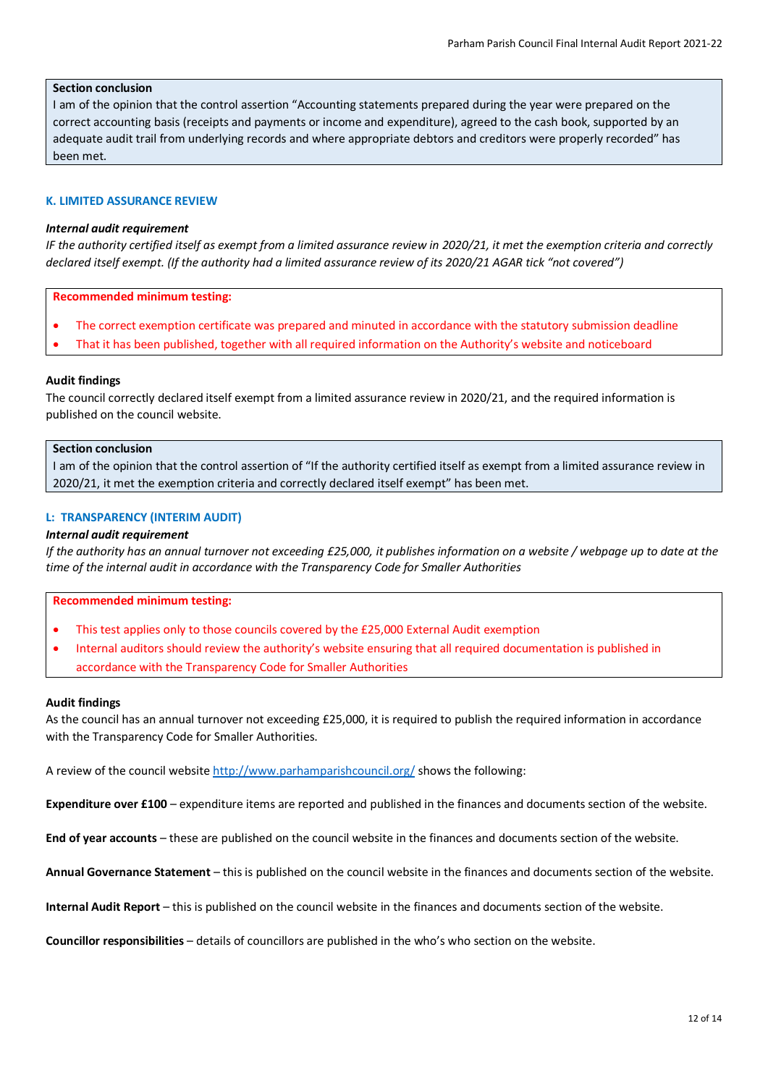## **Section conclusion**

I am of the opinion that the control assertion "Accounting statements prepared during the year were prepared on the correct accounting basis (receipts and payments or income and expenditure), agreed to the cash book, supported by an adequate audit trail from underlying records and where appropriate debtors and creditors were properly recorded" has been met.

### **K. LIMITED ASSURANCE REVIEW**

## *Internal audit requirement*

*IF the authority certified itself as exempt from a limited assurance review in 2020/21, it met the exemption criteria and correctly declared itself exempt. (If the authority had a limited assurance review of its 2020/21 AGAR tick "not covered")*

### **Recommended minimum testing:**

- The correct exemption certificate was prepared and minuted in accordance with the statutory submission deadline
- That it has been published, together with all required information on the Authority's website and noticeboard

## **Audit findings**

The council correctly declared itself exempt from a limited assurance review in 2020/21, and the required information is published on the council website.

### **Section conclusion**

I am of the opinion that the control assertion of "If the authority certified itself as exempt from a limited assurance review in 2020/21, it met the exemption criteria and correctly declared itself exempt" has been met.

## **L: TRANSPARENCY (INTERIM AUDIT)**

## *Internal audit requirement*

*If the authority has an annual turnover not exceeding £25,000, it publishes information on a website / webpage up to date at the time of the internal audit in accordance with the Transparency Code for Smaller Authorities*

### **Recommended minimum testing:**

- This test applies only to those councils covered by the £25,000 External Audit exemption
- Internal auditors should review the authority's website ensuring that all required documentation is published in accordance with the Transparency Code for Smaller Authorities

### **Audit findings**

As the council has an annual turnover not exceeding £25,000, it is required to publish the required information in accordance with the Transparency Code for Smaller Authorities.

A review of the council website <http://www.parhamparishcouncil.org/> shows the following:

**Expenditure over £100** – expenditure items are reported and published in the finances and documents section of the website.

**End of year accounts** – these are published on the council website in the finances and documents section of the website.

**Annual Governance Statement** – this is published on the council website in the finances and documents section of the website.

**Internal Audit Report** – this is published on the council website in the finances and documents section of the website.

**Councillor responsibilities** – details of councillors are published in the who's who section on the website.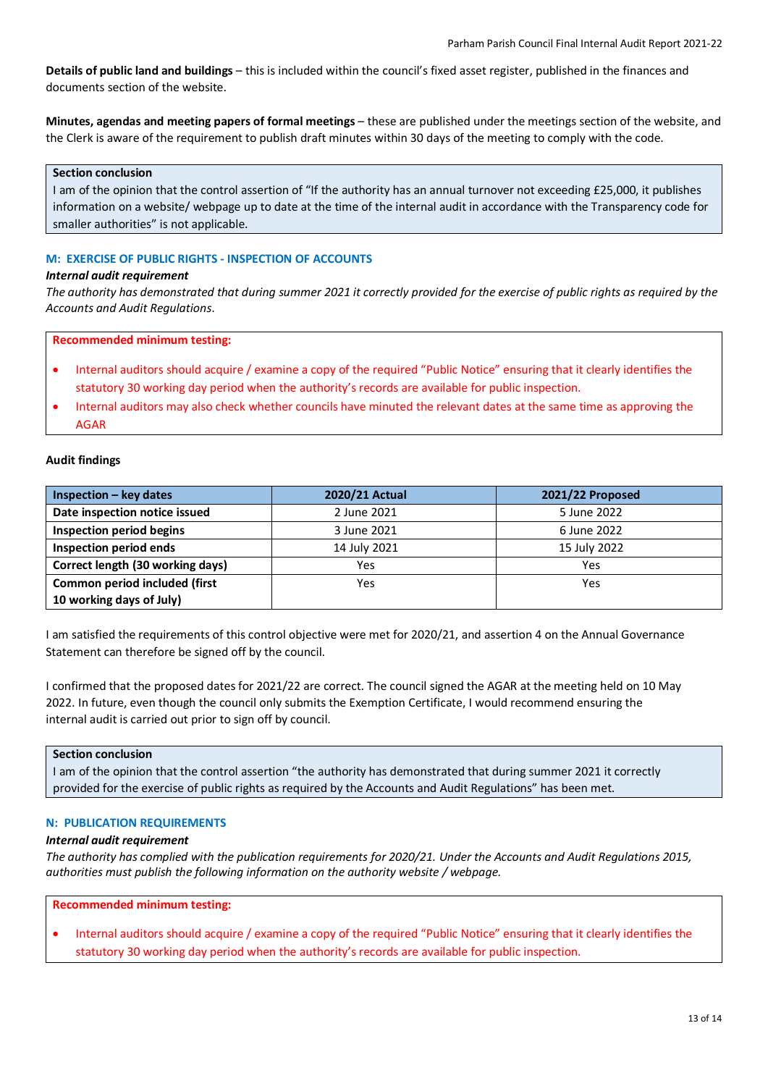**Details of public land and buildings** – this is included within the council's fixed asset register, published in the finances and documents section of the website.

**Minutes, agendas and meeting papers of formal meetings** – these are published under the meetings section of the website, and the Clerk is aware of the requirement to publish draft minutes within 30 days of the meeting to comply with the code.

### **Section conclusion**

I am of the opinion that the control assertion of "If the authority has an annual turnover not exceeding £25,000, it publishes information on a website/ webpage up to date at the time of the internal audit in accordance with the Transparency code for smaller authorities" is not applicable.

## **M: EXERCISE OF PUBLIC RIGHTS - INSPECTION OF ACCOUNTS**

### *Internal audit requirement*

*The authority has demonstrated that during summer 2021 it correctly provided for the exercise of public rights as required by the Accounts and Audit Regulations*.

### **Recommended minimum testing:**

- Internal auditors should acquire / examine a copy of the required "Public Notice" ensuring that it clearly identifies the statutory 30 working day period when the authority's records are available for public inspection.
- Internal auditors may also check whether councils have minuted the relevant dates at the same time as approving the AGAR

# **Audit findings**

| $Inspection - key dates$         | 2020/21 Actual | 2021/22 Proposed |
|----------------------------------|----------------|------------------|
| Date inspection notice issued    | 2 June 2021    | 5 June 2022      |
| Inspection period begins         | 3 June 2021    | 6 June 2022      |
| Inspection period ends           | 14 July 2021   | 15 July 2022     |
| Correct length (30 working days) | Yes            | Yes              |
| Common period included (first    | Yes            | Yes              |
| 10 working days of July)         |                |                  |

I am satisfied the requirements of this control objective were met for 2020/21, and assertion 4 on the Annual Governance Statement can therefore be signed off by the council.

I confirmed that the proposed dates for 2021/22 are correct. The council signed the AGAR at the meeting held on 10 May 2022. In future, even though the council only submits the Exemption Certificate, I would recommend ensuring the internal audit is carried out prior to sign off by council.

## **Section conclusion**

I am of the opinion that the control assertion "the authority has demonstrated that during summer 2021 it correctly provided for the exercise of public rights as required by the Accounts and Audit Regulations" has been met.

### **N: PUBLICATION REQUIREMENTS**

### *Internal audit requirement*

*The authority has complied with the publication requirements for 2020/21. Under the Accounts and Audit Regulations 2015, authorities must publish the following information on the authority website / webpage.*

# **Recommended minimum testing:**

• Internal auditors should acquire / examine a copy of the required "Public Notice" ensuring that it clearly identifies the statutory 30 working day period when the authority's records are available for public inspection.